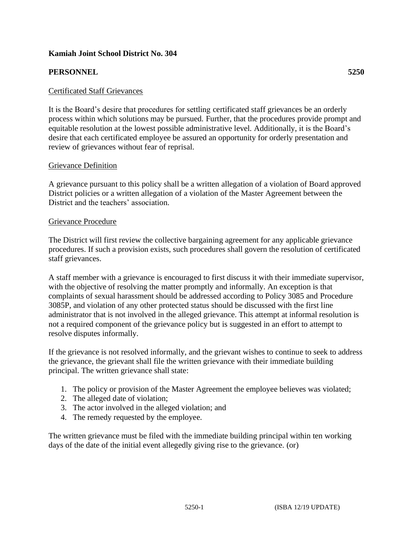## **Kamiah Joint School District No. 304**

## **PERSONNEL 5250**

## Certificated Staff Grievances

It is the Board's desire that procedures for settling certificated staff grievances be an orderly process within which solutions may be pursued. Further, that the procedures provide prompt and equitable resolution at the lowest possible administrative level. Additionally, it is the Board's desire that each certificated employee be assured an opportunity for orderly presentation and review of grievances without fear of reprisal.

### Grievance Definition

A grievance pursuant to this policy shall be a written allegation of a violation of Board approved District policies or a written allegation of a violation of the Master Agreement between the District and the teachers' association.

### Grievance Procedure

The District will first review the collective bargaining agreement for any applicable grievance procedures. If such a provision exists, such procedures shall govern the resolution of certificated staff grievances.

A staff member with a grievance is encouraged to first discuss it with their immediate supervisor, with the objective of resolving the matter promptly and informally. An exception is that complaints of sexual harassment should be addressed according to Policy 3085 and Procedure 3085P, and violation of any other protected status should be discussed with the first line administrator that is not involved in the alleged grievance. This attempt at informal resolution is not a required component of the grievance policy but is suggested in an effort to attempt to resolve disputes informally.

If the grievance is not resolved informally, and the grievant wishes to continue to seek to address the grievance, the grievant shall file the written grievance with their immediate building principal. The written grievance shall state:

- 1. The policy or provision of the Master Agreement the employee believes was violated;
- 2. The alleged date of violation;
- 3. The actor involved in the alleged violation; and
- 4. The remedy requested by the employee.

The written grievance must be filed with the immediate building principal within ten working days of the date of the initial event allegedly giving rise to the grievance. (or)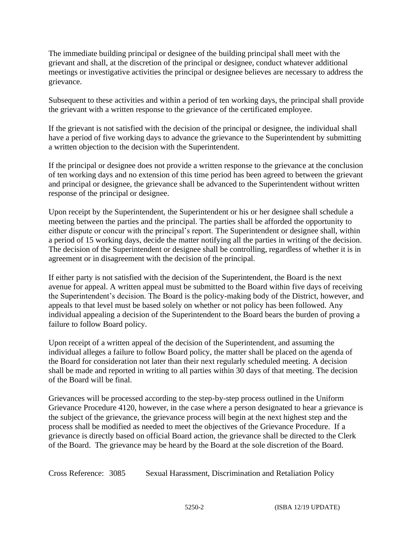The immediate building principal or designee of the building principal shall meet with the grievant and shall, at the discretion of the principal or designee, conduct whatever additional meetings or investigative activities the principal or designee believes are necessary to address the grievance.

Subsequent to these activities and within a period of ten working days, the principal shall provide the grievant with a written response to the grievance of the certificated employee.

If the grievant is not satisfied with the decision of the principal or designee, the individual shall have a period of five working days to advance the grievance to the Superintendent by submitting a written objection to the decision with the Superintendent.

If the principal or designee does not provide a written response to the grievance at the conclusion of ten working days and no extension of this time period has been agreed to between the grievant and principal or designee, the grievance shall be advanced to the Superintendent without written response of the principal or designee.

Upon receipt by the Superintendent, the Superintendent or his or her designee shall schedule a meeting between the parties and the principal. The parties shall be afforded the opportunity to either dispute or concur with the principal's report. The Superintendent or designee shall, within a period of 15 working days, decide the matter notifying all the parties in writing of the decision. The decision of the Superintendent or designee shall be controlling, regardless of whether it is in agreement or in disagreement with the decision of the principal.

If either party is not satisfied with the decision of the Superintendent, the Board is the next avenue for appeal. A written appeal must be submitted to the Board within five days of receiving the Superintendent's decision. The Board is the policy-making body of the District, however, and appeals to that level must be based solely on whether or not policy has been followed. Any individual appealing a decision of the Superintendent to the Board bears the burden of proving a failure to follow Board policy.

Upon receipt of a written appeal of the decision of the Superintendent, and assuming the individual alleges a failure to follow Board policy, the matter shall be placed on the agenda of the Board for consideration not later than their next regularly scheduled meeting. A decision shall be made and reported in writing to all parties within 30 days of that meeting. The decision of the Board will be final.

Grievances will be processed according to the step-by-step process outlined in the Uniform Grievance Procedure 4120, however, in the case where a person designated to hear a grievance is the subject of the grievance, the grievance process will begin at the next highest step and the process shall be modified as needed to meet the objectives of the Grievance Procedure. If a grievance is directly based on official Board action, the grievance shall be directed to the Clerk of the Board. The grievance may be heard by the Board at the sole discretion of the Board.

Cross Reference: 3085 Sexual Harassment, Discrimination and Retaliation Policy